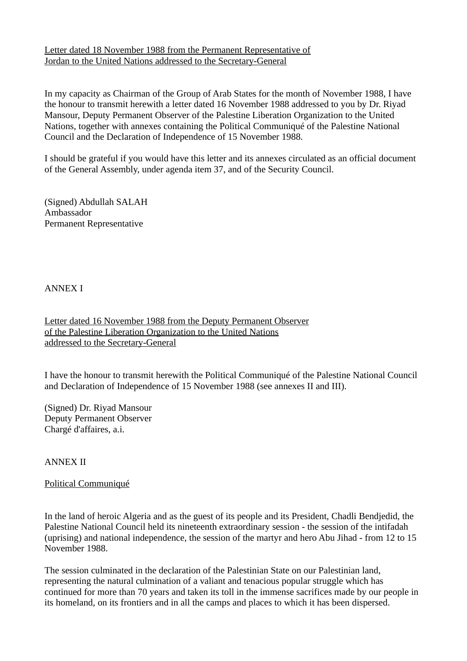Letter dated 18 November 1988 from the Permanent Representative of Jordan to the United Nations addressed to the Secretary-General

In my capacity as Chairman of the Group of Arab States for the month of November 1988, I have the honour to transmit herewith a letter dated 16 November 1988 addressed to you by Dr. Riyad Mansour, Deputy Permanent Observer of the Palestine Liberation Organization to the United Nations, together with annexes containing the Political Communiqué of the Palestine National Council and the Declaration of Independence of 15 November 1988.

I should be grateful if you would have this letter and its annexes circulated as an official document of the General Assembly, under agenda item 37, and of the Security Council.

(Signed) Abdullah SALAH Ambassador Permanent Representative

ANNEX I

Letter dated 16 November 1988 from the Deputy Permanent Observer of the Palestine Liberation Organization to the United Nations addressed to the Secretary-General

I have the honour to transmit herewith the Political Communiqué of the Palestine National Council and Declaration of Independence of 15 November 1988 (see annexes II and III).

(Signed) Dr. Riyad Mansour Deputy Permanent Observer Chargé d'affaires, a.i.

ANNEX II

Political Communiqué

In the land of heroic Algeria and as the guest of its people and its President, Chadli Bendjedid, the Palestine National Council held its nineteenth extraordinary session - the session of the intifadah (uprising) and national independence, the session of the martyr and hero Abu Jihad - from 12 to 15 November 1988.

The session culminated in the declaration of the Palestinian State on our Palestinian land, representing the natural culmination of a valiant and tenacious popular struggle which has continued for more than 70 years and taken its toll in the immense sacrifices made by our people in its homeland, on its frontiers and in all the camps and places to which it has been dispersed.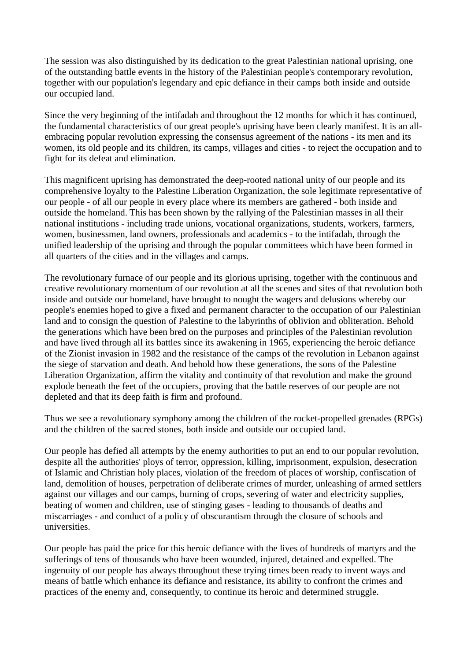The session was also distinguished by its dedication to the great Palestinian national uprising, one of the outstanding battle events in the history of the Palestinian people's contemporary revolution, together with our population's legendary and epic defiance in their camps both inside and outside our occupied land.

Since the very beginning of the intifadah and throughout the 12 months for which it has continued, the fundamental characteristics of our great people's uprising have been clearly manifest. It is an allembracing popular revolution expressing the consensus agreement of the nations - its men and its women, its old people and its children, its camps, villages and cities - to reject the occupation and to fight for its defeat and elimination.

This magnificent uprising has demonstrated the deep-rooted national unity of our people and its comprehensive loyalty to the Palestine Liberation Organization, the sole legitimate representative of our people - of all our people in every place where its members are gathered - both inside and outside the homeland. This has been shown by the rallying of the Palestinian masses in all their national institutions - including trade unions, vocational organizations, students, workers, farmers, women, businessmen, land owners, professionals and academics - to the intifadah, through the unified leadership of the uprising and through the popular committees which have been formed in all quarters of the cities and in the villages and camps.

The revolutionary furnace of our people and its glorious uprising, together with the continuous and creative revolutionary momentum of our revolution at all the scenes and sites of that revolution both inside and outside our homeland, have brought to nought the wagers and delusions whereby our people's enemies hoped to give a fixed and permanent character to the occupation of our Palestinian land and to consign the question of Palestine to the labyrinths of oblivion and obliteration. Behold the generations which have been bred on the purposes and principles of the Palestinian revolution and have lived through all its battles since its awakening in 1965, experiencing the heroic defiance of the Zionist invasion in 1982 and the resistance of the camps of the revolution in Lebanon against the siege of starvation and death. And behold how these generations, the sons of the Palestine Liberation Organization, affirm the vitality and continuity of that revolution and make the ground explode beneath the feet of the occupiers, proving that the battle reserves of our people are not depleted and that its deep faith is firm and profound.

Thus we see a revolutionary symphony among the children of the rocket-propelled grenades (RPGs) and the children of the sacred stones, both inside and outside our occupied land.

Our people has defied all attempts by the enemy authorities to put an end to our popular revolution, despite all the authorities' ploys of terror, oppression, killing, imprisonment, expulsion, desecration of Islamic and Christian holy places, violation of the freedom of places of worship, confiscation of land, demolition of houses, perpetration of deliberate crimes of murder, unleashing of armed settlers against our villages and our camps, burning of crops, severing of water and electricity supplies, beating of women and children, use of stinging gases - leading to thousands of deaths and miscarriages - and conduct of a policy of obscurantism through the closure of schools and universities.

Our people has paid the price for this heroic defiance with the lives of hundreds of martyrs and the sufferings of tens of thousands who have been wounded, injured, detained and expelled. The ingenuity of our people has always throughout these trying times been ready to invent ways and means of battle which enhance its defiance and resistance, its ability to confront the crimes and practices of the enemy and, consequently, to continue its heroic and determined struggle.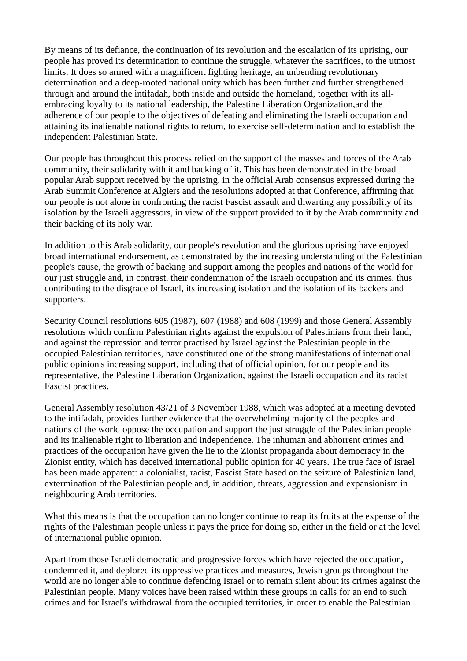By means of its defiance, the continuation of its revolution and the escalation of its uprising, our people has proved its determination to continue the struggle, whatever the sacrifices, to the utmost limits. It does so armed with a magnificent fighting heritage, an unbending revolutionary determination and a deep-rooted national unity which has been further and further strengthened through and around the intifadah, both inside and outside the homeland, together with its allembracing loyalty to its national leadership, the Palestine Liberation Organization,and the adherence of our people to the objectives of defeating and eliminating the Israeli occupation and attaining its inalienable national rights to return, to exercise self-determination and to establish the independent Palestinian State.

Our people has throughout this process relied on the support of the masses and forces of the Arab community, their solidarity with it and backing of it. This has been demonstrated in the broad popular Arab support received by the uprising, in the official Arab consensus expressed during the Arab Summit Conference at Algiers and the resolutions adopted at that Conference, affirming that our people is not alone in confronting the racist Fascist assault and thwarting any possibility of its isolation by the Israeli aggressors, in view of the support provided to it by the Arab community and their backing of its holy war.

In addition to this Arab solidarity, our people's revolution and the glorious uprising have enjoyed broad international endorsement, as demonstrated by the increasing understanding of the Palestinian people's cause, the growth of backing and support among the peoples and nations of the world for our just struggle and, in contrast, their condemnation of the Israeli occupation and its crimes, thus contributing to the disgrace of Israel, its increasing isolation and the isolation of its backers and supporters.

Security Council resolutions 605 (1987), 607 (1988) and 608 (1999) and those General Assembly resolutions which confirm Palestinian rights against the expulsion of Palestinians from their land, and against the repression and terror practised by Israel against the Palestinian people in the occupied Palestinian territories, have constituted one of the strong manifestations of international public opinion's increasing support, including that of official opinion, for our people and its representative, the Palestine Liberation Organization, against the Israeli occupation and its racist Fascist practices.

General Assembly resolution 43/21 of 3 November 1988, which was adopted at a meeting devoted to the intifadah, provides further evidence that the overwhelming majority of the peoples and nations of the world oppose the occupation and support the just struggle of the Palestinian people and its inalienable right to liberation and independence. The inhuman and abhorrent crimes and practices of the occupation have given the lie to the Zionist propaganda about democracy in the Zionist entity, which has deceived international public opinion for 40 years. The true face of Israel has been made apparent: a colonialist, racist, Fascist State based on the seizure of Palestinian land, extermination of the Palestinian people and, in addition, threats, aggression and expansionism in neighbouring Arab territories.

What this means is that the occupation can no longer continue to reap its fruits at the expense of the rights of the Palestinian people unless it pays the price for doing so, either in the field or at the level of international public opinion.

Apart from those Israeli democratic and progressive forces which have rejected the occupation, condemned it, and deplored its oppressive practices and measures, Jewish groups throughout the world are no longer able to continue defending Israel or to remain silent about its crimes against the Palestinian people. Many voices have been raised within these groups in calls for an end to such crimes and for Israel's withdrawal from the occupied territories, in order to enable the Palestinian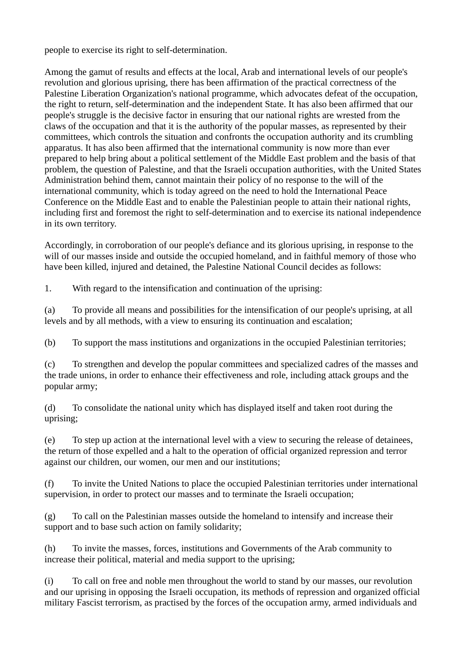people to exercise its right to self-determination.

Among the gamut of results and effects at the local, Arab and international levels of our people's revolution and glorious uprising, there has been affirmation of the practical correctness of the Palestine Liberation Organization's national programme, which advocates defeat of the occupation, the right to return, self-determination and the independent State. It has also been affirmed that our people's struggle is the decisive factor in ensuring that our national rights are wrested from the claws of the occupation and that it is the authority of the popular masses, as represented by their committees, which controls the situation and confronts the occupation authority and its crumbling apparatus. It has also been affirmed that the international community is now more than ever prepared to help bring about a political settlement of the Middle East problem and the basis of that problem, the question of Palestine, and that the Israeli occupation authorities, with the United States Administration behind them, cannot maintain their policy of no response to the will of the international community, which is today agreed on the need to hold the International Peace Conference on the Middle East and to enable the Palestinian people to attain their national rights, including first and foremost the right to self-determination and to exercise its national independence in its own territory.

Accordingly, in corroboration of our people's defiance and its glorious uprising, in response to the will of our masses inside and outside the occupied homeland, and in faithful memory of those who have been killed, injured and detained, the Palestine National Council decides as follows:

1. With regard to the intensification and continuation of the uprising:

(a) To provide all means and possibilities for the intensification of our people's uprising, at all levels and by all methods, with a view to ensuring its continuation and escalation;

(b) To support the mass institutions and organizations in the occupied Palestinian territories;

(c) To strengthen and develop the popular committees and specialized cadres of the masses and the trade unions, in order to enhance their effectiveness and role, including attack groups and the popular army;

(d) To consolidate the national unity which has displayed itself and taken root during the uprising;

(e) To step up action at the international level with a view to securing the release of detainees, the return of those expelled and a halt to the operation of official organized repression and terror against our children, our women, our men and our institutions;

(f) To invite the United Nations to place the occupied Palestinian territories under international supervision, in order to protect our masses and to terminate the Israeli occupation;

(g) To call on the Palestinian masses outside the homeland to intensify and increase their support and to base such action on family solidarity;

(h) To invite the masses, forces, institutions and Governments of the Arab community to increase their political, material and media support to the uprising;

(i) To call on free and noble men throughout the world to stand by our masses, our revolution and our uprising in opposing the Israeli occupation, its methods of repression and organized official military Fascist terrorism, as practised by the forces of the occupation army, armed individuals and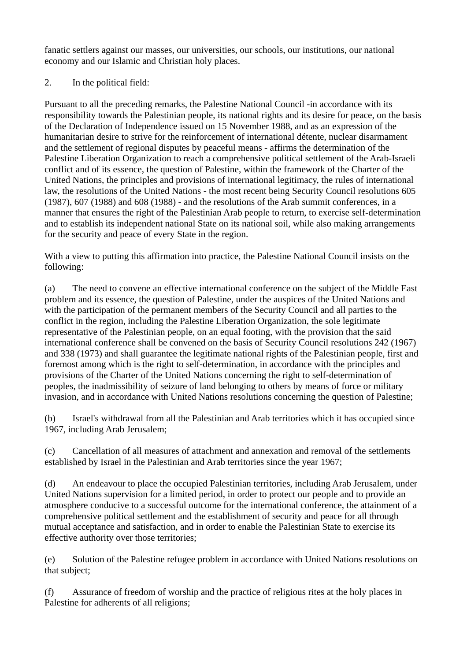fanatic settlers against our masses, our universities, our schools, our institutions, our national economy and our Islamic and Christian holy places.

2. In the political field:

Pursuant to all the preceding remarks, the Palestine National Council -in accordance with its responsibility towards the Palestinian people, its national rights and its desire for peace, on the basis of the Declaration of Independence issued on 15 November 1988, and as an expression of the humanitarian desire to strive for the reinforcement of international détente, nuclear disarmament and the settlement of regional disputes by peaceful means - affirms the determination of the Palestine Liberation Organization to reach a comprehensive political settlement of the Arab-Israeli conflict and of its essence, the question of Palestine, within the framework of the Charter of the United Nations, the principles and provisions of international legitimacy, the rules of international law, the resolutions of the United Nations - the most recent being Security Council resolutions 605 (1987), 607 (1988) and 608 (1988) - and the resolutions of the Arab summit conferences, in a manner that ensures the right of the Palestinian Arab people to return, to exercise self-determination and to establish its independent national State on its national soil, while also making arrangements for the security and peace of every State in the region.

With a view to putting this affirmation into practice, the Palestine National Council insists on the following:

(a) The need to convene an effective international conference on the subject of the Middle East problem and its essence, the question of Palestine, under the auspices of the United Nations and with the participation of the permanent members of the Security Council and all parties to the conflict in the region, including the Palestine Liberation Organization, the sole legitimate representative of the Palestinian people, on an equal footing, with the provision that the said international conference shall be convened on the basis of Security Council resolutions 242 (1967) and 338 (1973) and shall guarantee the legitimate national rights of the Palestinian people, first and foremost among which is the right to self-determination, in accordance with the principles and provisions of the Charter of the United Nations concerning the right to self-determination of peoples, the inadmissibility of seizure of land belonging to others by means of force or military invasion, and in accordance with United Nations resolutions concerning the question of Palestine;

(b) Israel's withdrawal from all the Palestinian and Arab territories which it has occupied since 1967, including Arab Jerusalem;

(c) Cancellation of all measures of attachment and annexation and removal of the settlements established by Israel in the Palestinian and Arab territories since the year 1967;

(d) An endeavour to place the occupied Palestinian territories, including Arab Jerusalem, under United Nations supervision for a limited period, in order to protect our people and to provide an atmosphere conducive to a successful outcome for the international conference, the attainment of a comprehensive political settlement and the establishment of security and peace for all through mutual acceptance and satisfaction, and in order to enable the Palestinian State to exercise its effective authority over those territories;

(e) Solution of the Palestine refugee problem in accordance with United Nations resolutions on that subject;

(f) Assurance of freedom of worship and the practice of religious rites at the holy places in Palestine for adherents of all religions;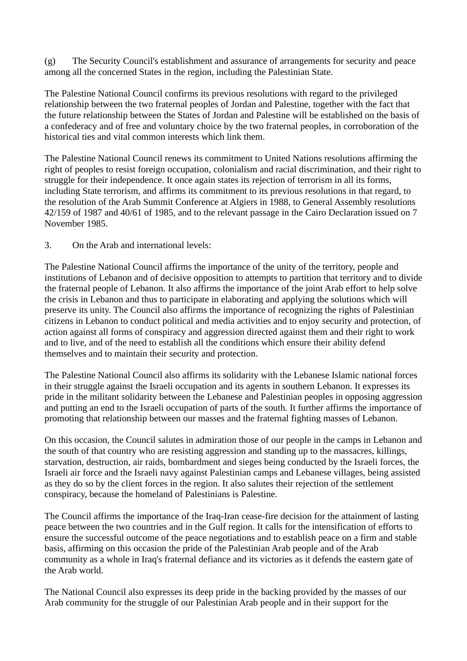(g) The Security Council's establishment and assurance of arrangements for security and peace among all the concerned States in the region, including the Palestinian State.

The Palestine National Council confirms its previous resolutions with regard to the privileged relationship between the two fraternal peoples of Jordan and Palestine, together with the fact that the future relationship between the States of Jordan and Palestine will be established on the basis of a confederacy and of free and voluntary choice by the two fraternal peoples, in corroboration of the historical ties and vital common interests which link them.

The Palestine National Council renews its commitment to United Nations resolutions affirming the right of peoples to resist foreign occupation, colonialism and racial discrimination, and their right to struggle for their independence. It once again states its rejection of terrorism in all its forms, including State terrorism, and affirms its commitment to its previous resolutions in that regard, to the resolution of the Arab Summit Conference at Algiers in 1988, to General Assembly resolutions 42/159 of 1987 and 40/61 of 1985, and to the relevant passage in the Cairo Declaration issued on 7 November 1985.

## 3. On the Arab and international levels:

The Palestine National Council affirms the importance of the unity of the territory, people and institutions of Lebanon and of decisive opposition to attempts to partition that territory and to divide the fraternal people of Lebanon. It also affirms the importance of the joint Arab effort to help solve the crisis in Lebanon and thus to participate in elaborating and applying the solutions which will preserve its unity. The Council also affirms the importance of recognizing the rights of Palestinian citizens in Lebanon to conduct political and media activities and to enjoy security and protection, of action against all forms of conspiracy and aggression directed against them and their right to work and to live, and of the need to establish all the conditions which ensure their ability defend themselves and to maintain their security and protection.

The Palestine National Council also affirms its solidarity with the Lebanese Islamic national forces in their struggle against the Israeli occupation and its agents in southern Lebanon. It expresses its pride in the militant solidarity between the Lebanese and Palestinian peoples in opposing aggression and putting an end to the Israeli occupation of parts of the south. It further affirms the importance of promoting that relationship between our masses and the fraternal fighting masses of Lebanon.

On this occasion, the Council salutes in admiration those of our people in the camps in Lebanon and the south of that country who are resisting aggression and standing up to the massacres, killings, starvation, destruction, air raids, bombardment and sieges being conducted by the Israeli forces, the Israeli air force and the Israeli navy against Palestinian camps and Lebanese villages, being assisted as they do so by the client forces in the region. It also salutes their rejection of the settlement conspiracy, because the homeland of Palestinians is Palestine.

The Council affirms the importance of the Iraq-Iran cease-fire decision for the attainment of lasting peace between the two countries and in the Gulf region. It calls for the intensification of efforts to ensure the successful outcome of the peace negotiations and to establish peace on a firm and stable basis, affirming on this occasion the pride of the Palestinian Arab people and of the Arab community as a whole in Iraq's fraternal defiance and its victories as it defends the eastern gate of the Arab world.

The National Council also expresses its deep pride in the backing provided by the masses of our Arab community for the struggle of our Palestinian Arab people and in their support for the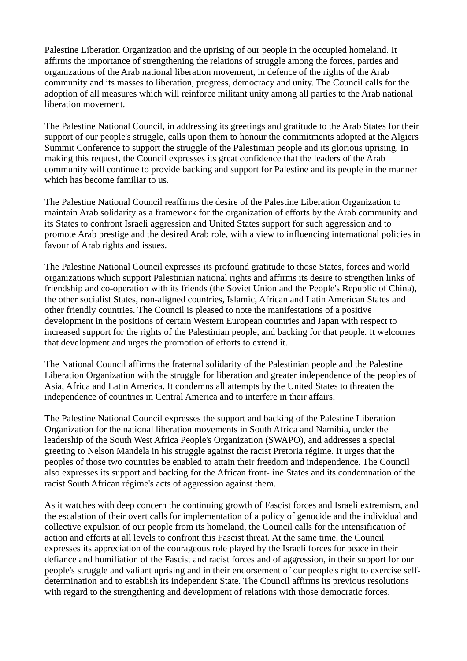Palestine Liberation Organization and the uprising of our people in the occupied homeland. It affirms the importance of strengthening the relations of struggle among the forces, parties and organizations of the Arab national liberation movement, in defence of the rights of the Arab community and its masses to liberation, progress, democracy and unity. The Council calls for the adoption of all measures which will reinforce militant unity among all parties to the Arab national liberation movement.

The Palestine National Council, in addressing its greetings and gratitude to the Arab States for their support of our people's struggle, calls upon them to honour the commitments adopted at the Algiers Summit Conference to support the struggle of the Palestinian people and its glorious uprising. In making this request, the Council expresses its great confidence that the leaders of the Arab community will continue to provide backing and support for Palestine and its people in the manner which has become familiar to us.

The Palestine National Council reaffirms the desire of the Palestine Liberation Organization to maintain Arab solidarity as a framework for the organization of efforts by the Arab community and its States to confront Israeli aggression and United States support for such aggression and to promote Arab prestige and the desired Arab role, with a view to influencing international policies in favour of Arab rights and issues.

The Palestine National Council expresses its profound gratitude to those States, forces and world organizations which support Palestinian national rights and affirms its desire to strengthen links of friendship and co-operation with its friends (the Soviet Union and the People's Republic of China), the other socialist States, non-aligned countries, Islamic, African and Latin American States and other friendly countries. The Council is pleased to note the manifestations of a positive development in the positions of certain Western European countries and Japan with respect to increased support for the rights of the Palestinian people, and backing for that people. It welcomes that development and urges the promotion of efforts to extend it.

The National Council affirms the fraternal solidarity of the Palestinian people and the Palestine Liberation Organization with the struggle for liberation and greater independence of the peoples of Asia, Africa and Latin America. It condemns all attempts by the United States to threaten the independence of countries in Central America and to interfere in their affairs.

The Palestine National Council expresses the support and backing of the Palestine Liberation Organization for the national liberation movements in South Africa and Namibia, under the leadership of the South West Africa People's Organization (SWAPO), and addresses a special greeting to Nelson Mandela in his struggle against the racist Pretoria régime. It urges that the peoples of those two countries be enabled to attain their freedom and independence. The Council also expresses its support and backing for the African front-line States and its condemnation of the racist South African régime's acts of aggression against them.

As it watches with deep concern the continuing growth of Fascist forces and Israeli extremism, and the escalation of their overt calls for implementation of a policy of genocide and the individual and collective expulsion of our people from its homeland, the Council calls for the intensification of action and efforts at all levels to confront this Fascist threat. At the same time, the Council expresses its appreciation of the courageous role played by the Israeli forces for peace in their defiance and humiliation of the Fascist and racist forces and of aggression, in their support for our people's struggle and valiant uprising and in their endorsement of our people's right to exercise selfdetermination and to establish its independent State. The Council affirms its previous resolutions with regard to the strengthening and development of relations with those democratic forces.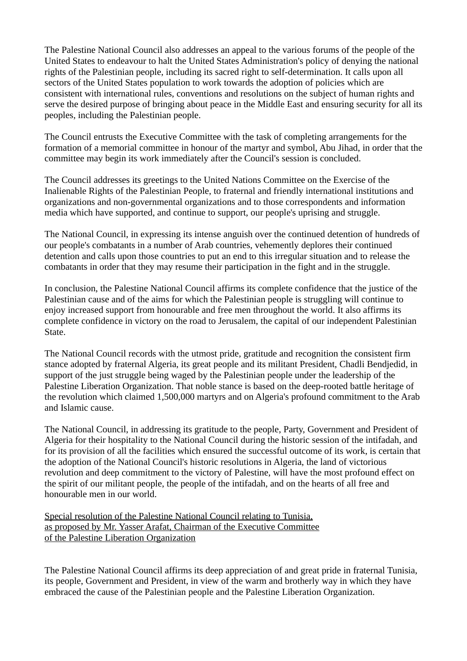The Palestine National Council also addresses an appeal to the various forums of the people of the United States to endeavour to halt the United States Administration's policy of denying the national rights of the Palestinian people, including its sacred right to self-determination. It calls upon all sectors of the United States population to work towards the adoption of policies which are consistent with international rules, conventions and resolutions on the subject of human rights and serve the desired purpose of bringing about peace in the Middle East and ensuring security for all its peoples, including the Palestinian people.

The Council entrusts the Executive Committee with the task of completing arrangements for the formation of a memorial committee in honour of the martyr and symbol, Abu Jihad, in order that the committee may begin its work immediately after the Council's session is concluded.

The Council addresses its greetings to the United Nations Committee on the Exercise of the Inalienable Rights of the Palestinian People, to fraternal and friendly international institutions and organizations and non-governmental organizations and to those correspondents and information media which have supported, and continue to support, our people's uprising and struggle.

The National Council, in expressing its intense anguish over the continued detention of hundreds of our people's combatants in a number of Arab countries, vehemently deplores their continued detention and calls upon those countries to put an end to this irregular situation and to release the combatants in order that they may resume their participation in the fight and in the struggle.

In conclusion, the Palestine National Council affirms its complete confidence that the justice of the Palestinian cause and of the aims for which the Palestinian people is struggling will continue to enjoy increased support from honourable and free men throughout the world. It also affirms its complete confidence in victory on the road to Jerusalem, the capital of our independent Palestinian State.

The National Council records with the utmost pride, gratitude and recognition the consistent firm stance adopted by fraternal Algeria, its great people and its militant President, Chadli Bendjedid, in support of the just struggle being waged by the Palestinian people under the leadership of the Palestine Liberation Organization. That noble stance is based on the deep-rooted battle heritage of the revolution which claimed 1,500,000 martyrs and on Algeria's profound commitment to the Arab and Islamic cause.

The National Council, in addressing its gratitude to the people, Party, Government and President of Algeria for their hospitality to the National Council during the historic session of the intifadah, and for its provision of all the facilities which ensured the successful outcome of its work, is certain that the adoption of the National Council's historic resolutions in Algeria, the land of victorious revolution and deep commitment to the victory of Palestine, will have the most profound effect on the spirit of our militant people, the people of the intifadah, and on the hearts of all free and honourable men in our world.

Special resolution of the Palestine National Council relating to Tunisia, as proposed by Mr. Yasser Arafat, Chairman of the Executive Committee of the Palestine Liberation Organization

The Palestine National Council affirms its deep appreciation of and great pride in fraternal Tunisia, its people, Government and President, in view of the warm and brotherly way in which they have embraced the cause of the Palestinian people and the Palestine Liberation Organization.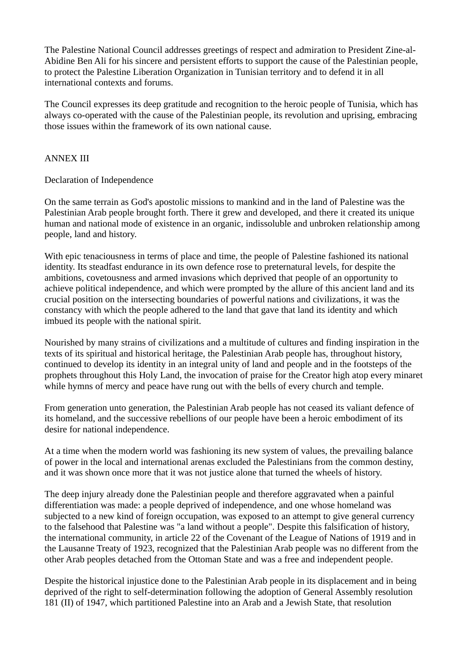The Palestine National Council addresses greetings of respect and admiration to President Zine-al-Abidine Ben Ali for his sincere and persistent efforts to support the cause of the Palestinian people, to protect the Palestine Liberation Organization in Tunisian territory and to defend it in all international contexts and forums.

The Council expresses its deep gratitude and recognition to the heroic people of Tunisia, which has always co-operated with the cause of the Palestinian people, its revolution and uprising, embracing those issues within the framework of its own national cause.

## ANNEX III

## Declaration of Independence

On the same terrain as God's apostolic missions to mankind and in the land of Palestine was the Palestinian Arab people brought forth. There it grew and developed, and there it created its unique human and national mode of existence in an organic, indissoluble and unbroken relationship among people, land and history.

With epic tenaciousness in terms of place and time, the people of Palestine fashioned its national identity. Its steadfast endurance in its own defence rose to preternatural levels, for despite the ambitions, covetousness and armed invasions which deprived that people of an opportunity to achieve political independence, and which were prompted by the allure of this ancient land and its crucial position on the intersecting boundaries of powerful nations and civilizations, it was the constancy with which the people adhered to the land that gave that land its identity and which imbued its people with the national spirit.

Nourished by many strains of civilizations and a multitude of cultures and finding inspiration in the texts of its spiritual and historical heritage, the Palestinian Arab people has, throughout history, continued to develop its identity in an integral unity of land and people and in the footsteps of the prophets throughout this Holy Land, the invocation of praise for the Creator high atop every minaret while hymns of mercy and peace have rung out with the bells of every church and temple.

From generation unto generation, the Palestinian Arab people has not ceased its valiant defence of its homeland, and the successive rebellions of our people have been a heroic embodiment of its desire for national independence.

At a time when the modern world was fashioning its new system of values, the prevailing balance of power in the local and international arenas excluded the Palestinians from the common destiny, and it was shown once more that it was not justice alone that turned the wheels of history.

The deep injury already done the Palestinian people and therefore aggravated when a painful differentiation was made: a people deprived of independence, and one whose homeland was subjected to a new kind of foreign occupation, was exposed to an attempt to give general currency to the falsehood that Palestine was "a land without a people". Despite this falsification of history, the international community, in article 22 of the Covenant of the League of Nations of 1919 and in the Lausanne Treaty of 1923, recognized that the Palestinian Arab people was no different from the other Arab peoples detached from the Ottoman State and was a free and independent people.

Despite the historical injustice done to the Palestinian Arab people in its displacement and in being deprived of the right to self-determination following the adoption of General Assembly resolution 181 (II) of 1947, which partitioned Palestine into an Arab and a Jewish State, that resolution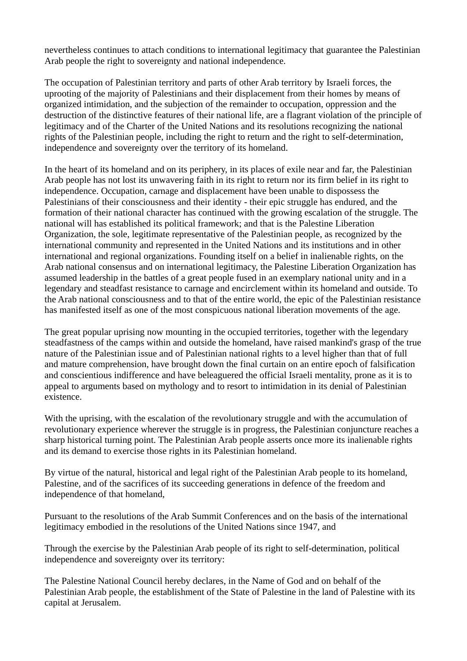nevertheless continues to attach conditions to international legitimacy that guarantee the Palestinian Arab people the right to sovereignty and national independence.

The occupation of Palestinian territory and parts of other Arab territory by Israeli forces, the uprooting of the majority of Palestinians and their displacement from their homes by means of organized intimidation, and the subjection of the remainder to occupation, oppression and the destruction of the distinctive features of their national life, are a flagrant violation of the principle of legitimacy and of the Charter of the United Nations and its resolutions recognizing the national rights of the Palestinian people, including the right to return and the right to self-determination, independence and sovereignty over the territory of its homeland.

In the heart of its homeland and on its periphery, in its places of exile near and far, the Palestinian Arab people has not lost its unwavering faith in its right to return nor its firm belief in its right to independence. Occupation, carnage and displacement have been unable to dispossess the Palestinians of their consciousness and their identity - their epic struggle has endured, and the formation of their national character has continued with the growing escalation of the struggle. The national will has established its political framework; and that is the Palestine Liberation Organization, the sole, legitimate representative of the Palestinian people, as recognized by the international community and represented in the United Nations and its institutions and in other international and regional organizations. Founding itself on a belief in inalienable rights, on the Arab national consensus and on international legitimacy, the Palestine Liberation Organization has assumed leadership in the battles of a great people fused in an exemplary national unity and in a legendary and steadfast resistance to carnage and encirclement within its homeland and outside. To the Arab national consciousness and to that of the entire world, the epic of the Palestinian resistance has manifested itself as one of the most conspicuous national liberation movements of the age.

The great popular uprising now mounting in the occupied territories, together with the legendary steadfastness of the camps within and outside the homeland, have raised mankind's grasp of the true nature of the Palestinian issue and of Palestinian national rights to a level higher than that of full and mature comprehension, have brought down the final curtain on an entire epoch of falsification and conscientious indifference and have beleaguered the official Israeli mentality, prone as it is to appeal to arguments based on mythology and to resort to intimidation in its denial of Palestinian existence.

With the uprising, with the escalation of the revolutionary struggle and with the accumulation of revolutionary experience wherever the struggle is in progress, the Palestinian conjuncture reaches a sharp historical turning point. The Palestinian Arab people asserts once more its inalienable rights and its demand to exercise those rights in its Palestinian homeland.

By virtue of the natural, historical and legal right of the Palestinian Arab people to its homeland, Palestine, and of the sacrifices of its succeeding generations in defence of the freedom and independence of that homeland,

Pursuant to the resolutions of the Arab Summit Conferences and on the basis of the international legitimacy embodied in the resolutions of the United Nations since 1947, and

Through the exercise by the Palestinian Arab people of its right to self-determination, political independence and sovereignty over its territory:

The Palestine National Council hereby declares, in the Name of God and on behalf of the Palestinian Arab people, the establishment of the State of Palestine in the land of Palestine with its capital at Jerusalem.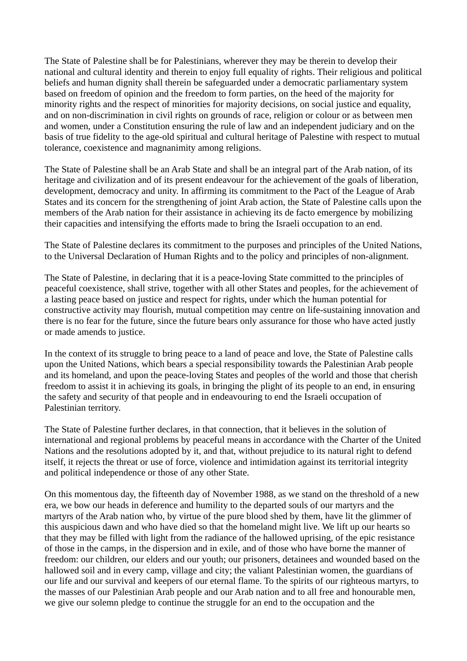The State of Palestine shall be for Palestinians, wherever they may be therein to develop their national and cultural identity and therein to enjoy full equality of rights. Their religious and political beliefs and human dignity shall therein be safeguarded under a democratic parliamentary system based on freedom of opinion and the freedom to form parties, on the heed of the majority for minority rights and the respect of minorities for majority decisions, on social justice and equality, and on non-discrimination in civil rights on grounds of race, religion or colour or as between men and women, under a Constitution ensuring the rule of law and an independent judiciary and on the basis of true fidelity to the age-old spiritual and cultural heritage of Palestine with respect to mutual tolerance, coexistence and magnanimity among religions.

The State of Palestine shall be an Arab State and shall be an integral part of the Arab nation, of its heritage and civilization and of its present endeavour for the achievement of the goals of liberation, development, democracy and unity. In affirming its commitment to the Pact of the League of Arab States and its concern for the strengthening of joint Arab action, the State of Palestine calls upon the members of the Arab nation for their assistance in achieving its de facto emergence by mobilizing their capacities and intensifying the efforts made to bring the Israeli occupation to an end.

The State of Palestine declares its commitment to the purposes and principles of the United Nations, to the Universal Declaration of Human Rights and to the policy and principles of non-alignment.

The State of Palestine, in declaring that it is a peace-loving State committed to the principles of peaceful coexistence, shall strive, together with all other States and peoples, for the achievement of a lasting peace based on justice and respect for rights, under which the human potential for constructive activity may flourish, mutual competition may centre on life-sustaining innovation and there is no fear for the future, since the future bears only assurance for those who have acted justly or made amends to justice.

In the context of its struggle to bring peace to a land of peace and love, the State of Palestine calls upon the United Nations, which bears a special responsibility towards the Palestinian Arab people and its homeland, and upon the peace-loving States and peoples of the world and those that cherish freedom to assist it in achieving its goals, in bringing the plight of its people to an end, in ensuring the safety and security of that people and in endeavouring to end the Israeli occupation of Palestinian territory.

The State of Palestine further declares, in that connection, that it believes in the solution of international and regional problems by peaceful means in accordance with the Charter of the United Nations and the resolutions adopted by it, and that, without prejudice to its natural right to defend itself, it rejects the threat or use of force, violence and intimidation against its territorial integrity and political independence or those of any other State.

On this momentous day, the fifteenth day of November 1988, as we stand on the threshold of a new era, we bow our heads in deference and humility to the departed souls of our martyrs and the martyrs of the Arab nation who, by virtue of the pure blood shed by them, have lit the glimmer of this auspicious dawn and who have died so that the homeland might live. We lift up our hearts so that they may be filled with light from the radiance of the hallowed uprising, of the epic resistance of those in the camps, in the dispersion and in exile, and of those who have borne the manner of freedom: our children, our elders and our youth; our prisoners, detainees and wounded based on the hallowed soil and in every camp, village and city; the valiant Palestinian women, the guardians of our life and our survival and keepers of our eternal flame. To the spirits of our righteous martyrs, to the masses of our Palestinian Arab people and our Arab nation and to all free and honourable men, we give our solemn pledge to continue the struggle for an end to the occupation and the